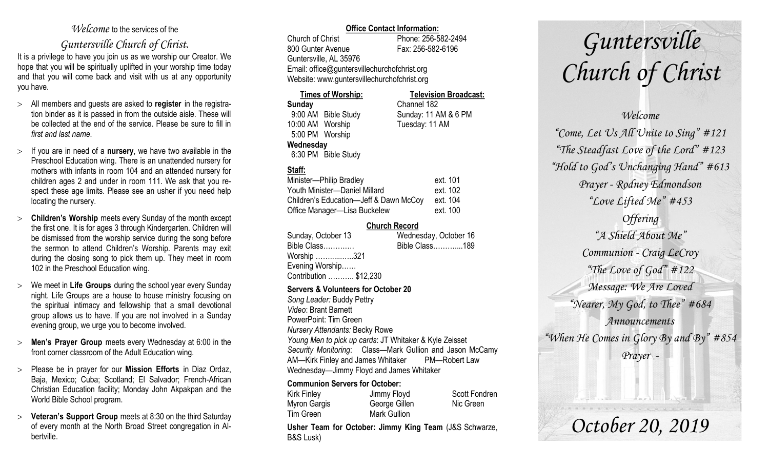### *Welcome* to the services of the

### *Guntersville Church of Christ*.

It is a privilege to have you join us as we worship our Creator. We hope that you will be spiritually uplifted in your worship time today and that you will come back and visit with us at any opportunity you have.

- All members and guests are asked to **register** in the registration binder as it is passed in from the outside aisle. These will be collected at the end of the service. Please be sure to fill in *first and last name*.
- $\geq$  If you are in need of a **nursery**, we have two available in the Preschool Education wing. There is an unattended nursery for mothers with infants in room 104 and an attended nursery for children ages 2 and under in room 111. We ask that you respect these age limits. Please see an usher if you need help locating the nursery.
- **Children's Worship** meets every Sunday of the month except the first one. It is for ages 3 through Kindergarten. Children will be dismissed from the worship service during the song before the sermon to attend Children's Worship. Parents may exit during the closing song to pick them up. They meet in room 102 in the Preschool Education wing.
- We meet in **Life Groups** during the school year every Sunday night. Life Groups are a house to house ministry focusing on the spiritual intimacy and fellowship that a small devotional group allows us to have. If you are not involved in a Sunday evening group, we urge you to become involved.
- **Men's Prayer Group** meets every Wednesday at 6:00 in the front corner classroom of the Adult Education wing.
- Please be in prayer for our **Mission Efforts** in Diaz Ordaz, Baja, Mexico; Cuba; Scotland; El Salvador; French-African Christian Education facility; Monday John Akpakpan and the World Bible School program.
- **Veteran's Support Group** meets at 8:30 on the third Saturday of every month at the North Broad Street congregation in Albertville.

### **Office Contact Information:**

Church of Christ Phone: 256-582-2494 800 Gunter Avenue Fax: 256-582-6196 Guntersville, AL 35976 Email: office@guntersvillechurchofchrist.org Website: www.guntersvillechurchofchrist.org

| <b>Times of Worship:</b> |                     | <b>Television Broadcast:</b> |  |
|--------------------------|---------------------|------------------------------|--|
| <b>Sunday</b>            |                     | Channel 182                  |  |
|                          | 9:00 AM Bible Study | Sunday: 11 AM & 6 PM         |  |
| 10:00 AM Worship         |                     | Tuesday: 11 AM               |  |
| 5:00 PM Worship          |                     |                              |  |
| Wednesday                |                     |                              |  |
|                          | 6:30 PM Bible Study |                              |  |

### **Staff:**

| Minister-Philip Bradley                | ext. 101 |
|----------------------------------------|----------|
| Youth Minister--Daniel Millard         | ext. 102 |
| Children's Education-Jeff & Dawn McCoy | ext. 104 |
| Office Manager—Lisa Buckelew           | ext. 100 |

### **Church Record**

| Sunday, October 13     | Wednesday, October 16 |
|------------------------|-----------------------|
| Bible Class            | Bible Class189        |
| Worship 321            |                       |
| Evening Worship        |                       |
| Contribution  \$12,230 |                       |
|                        |                       |

### **Servers & Volunteers for October 20**

*Song Leader:* Buddy Pettry *Video*: Brant Barnett PowerPoint: Tim Green *Nursery Attendants:* Becky Rowe *Young Men to pick up cards*: JT Whitaker & Kyle Zeisset *Security Monitoring*: Class—Mark Gullion and Jason McCamy AM—Kirk Finley and James Whitaker PM—Robert Law Wednesday—Jimmy Floyd and James Whitaker

### **Communion Servers for October:**

| Kirk Finley  | Jimmy Floyd   | <b>Scott Fondren</b> |
|--------------|---------------|----------------------|
| Myron Gargis | George Gillen | Nic Green            |
| Tim Green    | Mark Gullion  |                      |

**Usher Team for October: Jimmy King Team** (J&S Schwarze, B&S Lusk)

# *Guntersville Church of Christ*

## *Welcome "Come, Let Us All Unite to Sing" #121 "The Steadfast Love of the Lord" #123 "Hold to God's Unchanging Hand" #613 Prayer - Rodney Edmondson "Love Lifted Me" #453 Offering "A Shield About Me" Communion - Craig LeCroy "The Love of God" #122 Message: We Are Loved "Nearer, My God, to Thee" #684 Announcements "When He Comes in Glory By and By" #854 Prayer -*

*October 20, 2019*